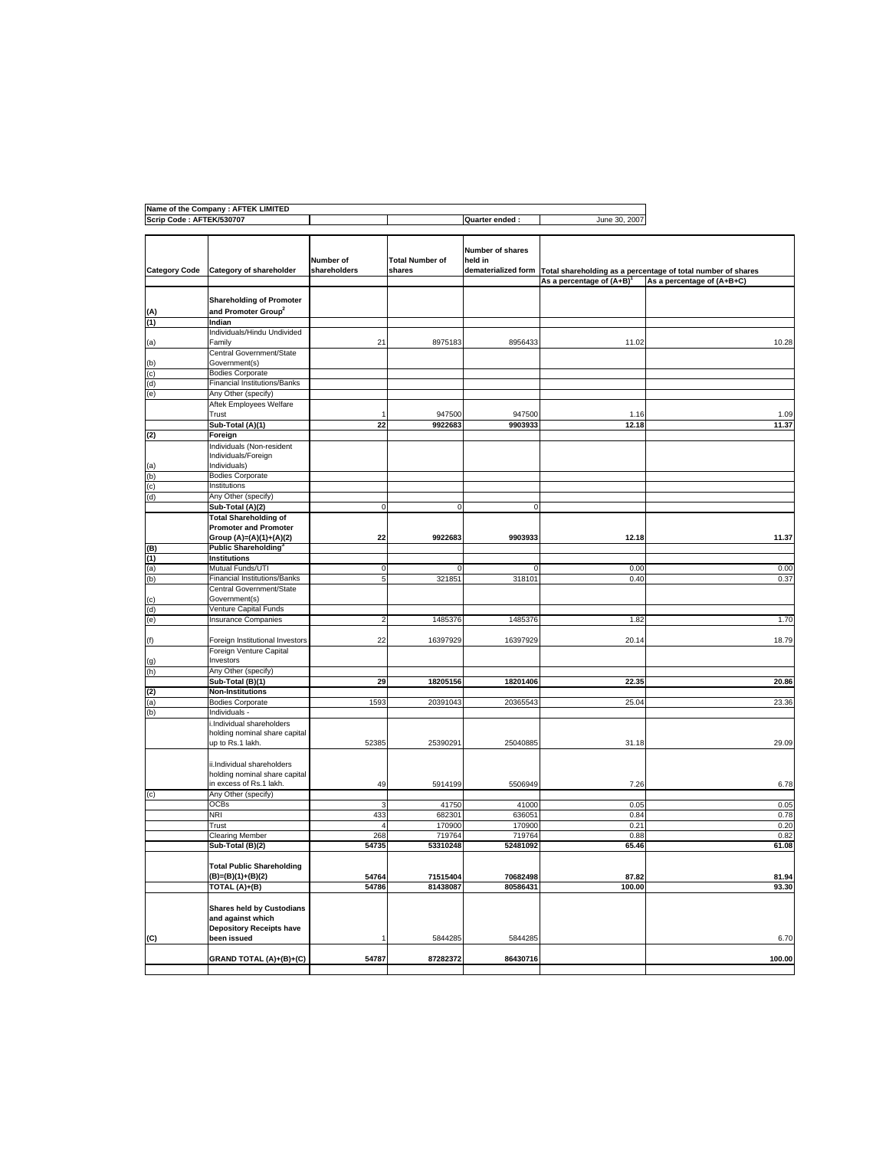|                          | Name of the Company : AFTEK LIMITED                                                      |                           |                                  |                                                    |                                |                                                              |
|--------------------------|------------------------------------------------------------------------------------------|---------------------------|----------------------------------|----------------------------------------------------|--------------------------------|--------------------------------------------------------------|
| Scrip Code: AFTEK/530707 |                                                                                          |                           |                                  | Quarter ended:                                     | June 30, 2007                  |                                                              |
| <b>Category Code</b>     | Category of shareholder                                                                  | Number of<br>shareholders | <b>Total Number of</b><br>shares | Number of shares<br>held in<br>dematerialized form |                                | Total shareholding as a percentage of total number of shares |
|                          |                                                                                          |                           |                                  |                                                    | As a percentage of $(A+B)^{1}$ | As a percentage of (A+B+C)                                   |
|                          |                                                                                          |                           |                                  |                                                    |                                |                                                              |
| (A)                      | <b>Shareholding of Promoter</b><br>and Promoter Group <sup>2</sup>                       |                           |                                  |                                                    |                                |                                                              |
| (1)                      | Indian                                                                                   |                           |                                  |                                                    |                                |                                                              |
| (a)                      | Individuals/Hindu Undivided<br>Family                                                    | 21                        | 8975183                          | 8956433                                            | 11.02                          | 10.28                                                        |
|                          | Central Government/State                                                                 |                           |                                  |                                                    |                                |                                                              |
| (b)                      | Government(s)<br><b>Bodies Corporate</b>                                                 |                           |                                  |                                                    |                                |                                                              |
| (c)<br>(d)               | <b>Financial Institutions/Banks</b>                                                      |                           |                                  |                                                    |                                |                                                              |
| (e)                      | Any Other (specify)                                                                      |                           |                                  |                                                    |                                |                                                              |
|                          | Aftek Employees Welfare                                                                  |                           |                                  |                                                    |                                |                                                              |
|                          | Trust<br>Sub-Total (A)(1)                                                                | 22                        | 947500<br>9922683                | 947500<br>9903933                                  | 1.16<br>12.18                  | 1.09<br>11.37                                                |
| (2)                      | Foreign                                                                                  |                           |                                  |                                                    |                                |                                                              |
|                          | Individuals (Non-resident                                                                |                           |                                  |                                                    |                                |                                                              |
|                          | Individuals/Foreign                                                                      |                           |                                  |                                                    |                                |                                                              |
| (a)                      | Individuals)                                                                             |                           |                                  |                                                    |                                |                                                              |
| (b)                      | <b>Bodies Corporate</b>                                                                  |                           |                                  |                                                    |                                |                                                              |
| (c)                      | Institutions                                                                             |                           |                                  |                                                    |                                |                                                              |
| (d)                      | Any Other (specify)                                                                      | C                         | $\mathbf 0$                      |                                                    |                                |                                                              |
|                          | Sub-Total (A)(2)                                                                         |                           |                                  | $\mathbf 0$                                        |                                |                                                              |
|                          | <b>Total Shareholding of</b><br><b>Promoter and Promoter</b>                             |                           |                                  |                                                    |                                |                                                              |
|                          | Group (A)=(A)(1)+(A)(2)                                                                  | 22                        | 9922683                          | 9903933                                            | 12.18                          | 11.37                                                        |
| (B)                      | Public Shareholding <sup>3</sup>                                                         |                           |                                  |                                                    |                                |                                                              |
| (1)                      | Institutions                                                                             |                           |                                  |                                                    |                                |                                                              |
| (a)                      | Mutual Funds/UTI                                                                         | 0                         | 0                                | 0                                                  | 0.00                           | 0.00                                                         |
| (b)                      | Financial Institutions/Banks                                                             | 5                         | 321851                           | 318101                                             | 0.40                           | 0.37                                                         |
|                          | Central Government/State                                                                 |                           |                                  |                                                    |                                |                                                              |
| (c)                      | Government(s)                                                                            |                           |                                  |                                                    |                                |                                                              |
| (d)                      | Venture Capital Funds<br><b>Insurance Companies</b>                                      |                           |                                  |                                                    |                                |                                                              |
| (e)                      |                                                                                          | 2                         | 1485376                          | 1485376                                            | 1.82                           | 1.70                                                         |
| (f)                      | Foreign Institutional Investors                                                          | 22                        | 16397929                         | 16397929                                           | 20.14                          | 18.79                                                        |
| (g)                      | Foreign Venture Capital<br>Investors                                                     |                           |                                  |                                                    |                                |                                                              |
| (h)                      | Any Other (specify)                                                                      |                           |                                  |                                                    |                                |                                                              |
|                          | Sub-Total (B)(1)                                                                         | 29                        | 18205156                         | 18201406                                           | 22.35                          | 20.86                                                        |
| (2)                      | <b>Non-Institutions</b>                                                                  |                           |                                  |                                                    |                                |                                                              |
| (a)                      | <b>Bodies Corporate</b>                                                                  | 1593                      | 20391043                         | 20365543                                           | 25.04                          | 23.36                                                        |
| (b)                      | Individuals -                                                                            |                           |                                  |                                                    |                                |                                                              |
|                          | i.Individual shareholders<br>holding nominal share capital                               |                           |                                  |                                                    |                                |                                                              |
|                          | up to Rs.1 lakh.                                                                         | 52385                     | 25390291                         | 25040885                                           | 31.18                          | 29.09                                                        |
|                          |                                                                                          |                           |                                  |                                                    |                                |                                                              |
|                          | ii.Individual shareholders<br>holding nominal share capital                              |                           |                                  |                                                    |                                |                                                              |
|                          | in excess of Rs.1 lakh.                                                                  | 49                        | 5914199                          | 5506949                                            | 7.26                           | 6.78                                                         |
| (c)                      | Any Other (specify)                                                                      |                           |                                  |                                                    |                                |                                                              |
|                          | <b>OCBs</b>                                                                              | 3                         | 41750                            | 41000                                              | 0.05                           | 0.05                                                         |
|                          | NRI                                                                                      | 433                       | 682301                           | 636051                                             | 0.84                           | 0.78                                                         |
|                          | Trust                                                                                    | $\overline{4}$            | 170900                           | 170900                                             | 0.21                           | 0.20                                                         |
|                          | Clearing Member                                                                          | 268                       | 719764                           | 719764                                             | 0.88                           | 0.82                                                         |
|                          | Sub-Total (B)(2)                                                                         | 54735                     | 53310248                         | 52481092                                           | 65.46                          | 61.08                                                        |
|                          | <b>Total Public Shareholding</b><br>(B)=(B)(1)+(B)(2)                                    | 54764                     | 71515404                         | 70682498                                           | 87.82                          | 81.94                                                        |
|                          | TOTAL (A)+(B)                                                                            | 54786                     | 81438087                         | 80586431                                           | 100.00                         | 93.30                                                        |
|                          | <b>Shares held by Custodians</b><br>and against which<br><b>Depository Receipts have</b> |                           |                                  |                                                    |                                |                                                              |
| (C)                      | been issued                                                                              |                           | 5844285                          | 5844285                                            |                                | 6.70                                                         |
|                          | <b>GRAND TOTAL (A)+(B)+(C)</b>                                                           | 54787                     | 87282372                         | 86430716                                           |                                | 100.00                                                       |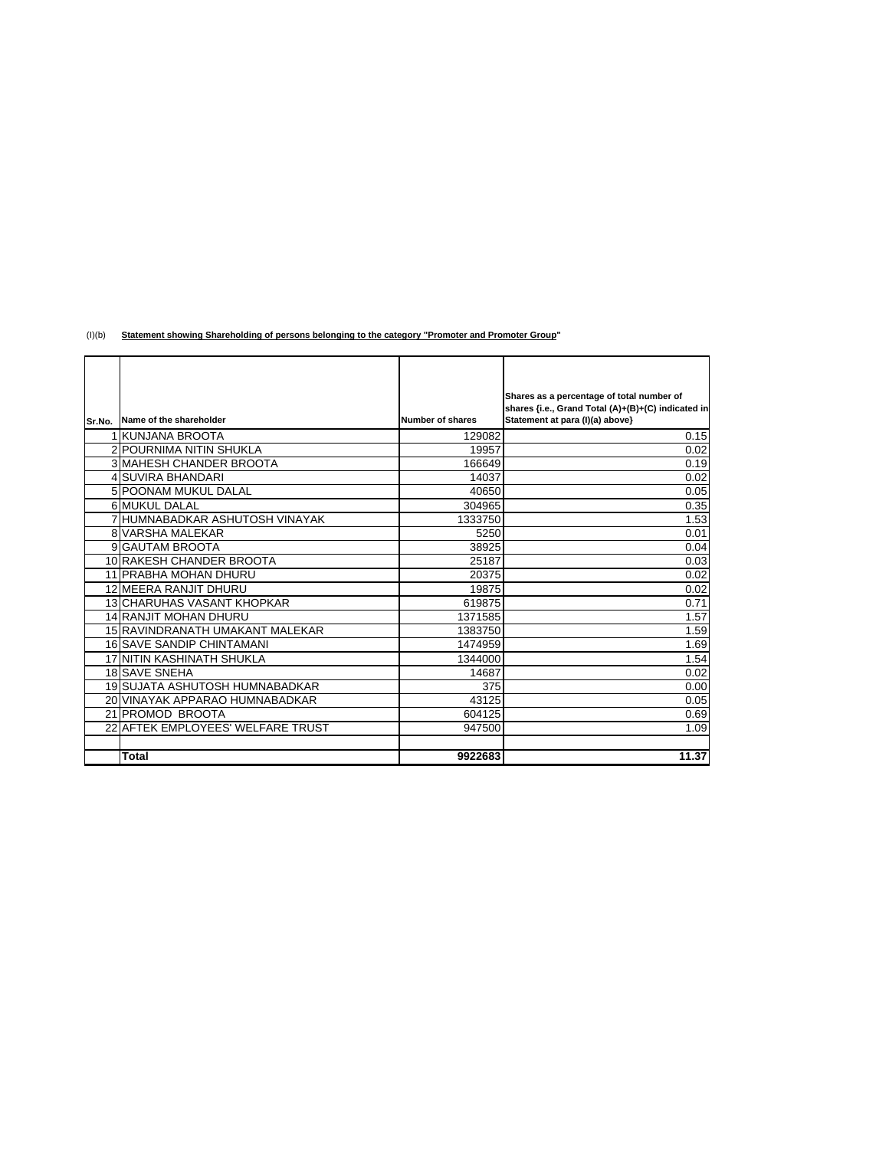(I)(b) **Statement showing Shareholding of persons belonging to the category "Promoter and Promoter Group"**

|        |                                   |                  | Shares as a percentage of total number of<br>shares {i.e., Grand Total (A)+(B)+(C) indicated in |
|--------|-----------------------------------|------------------|-------------------------------------------------------------------------------------------------|
| Sr.No. | Name of the shareholder           | Number of shares | Statement at para (I)(a) above}                                                                 |
|        | 1 KUNJANA BROOTA                  | 129082           | 0.15                                                                                            |
|        | <b>2 POURNIMA NITIN SHUKLA</b>    | 19957            | 0.02                                                                                            |
|        | <b>3 MAHESH CHANDER BROOTA</b>    | 166649           | 0.19                                                                                            |
|        | 4 SUVIRA BHANDARI                 | 14037            | 0.02                                                                                            |
|        | 5 POONAM MUKUL DALAL              | 40650            | 0.05                                                                                            |
|        | 6 MUKUL DALAL                     | 304965           | 0.35                                                                                            |
|        | 7 HUMNABADKAR ASHUTOSH VINAYAK    | 1333750          | 1.53                                                                                            |
|        | <b>8 VARSHA MALEKAR</b>           | 5250             | 0.01                                                                                            |
|        | 9 GAUTAM BROOTA                   | 38925            | 0.04                                                                                            |
|        | 10 RAKESH CHANDER BROOTA          | 25187            | 0.03                                                                                            |
|        | 11 PRABHA MOHAN DHURU             | 20375            | 0.02                                                                                            |
|        | 12 MEERA RANJIT DHURU             | 19875            | 0.02                                                                                            |
|        | <b>13 CHARUHAS VASANT KHOPKAR</b> | 619875           | 0.71                                                                                            |
|        | <b>14 RANJIT MOHAN DHURU</b>      | 1371585          | 1.57                                                                                            |
|        | 15 RAVINDRANATH UMAKANT MALEKAR   | 1383750          | 1.59                                                                                            |
|        | 16 SAVE SANDIP CHINTAMANI         | 1474959          | 1.69                                                                                            |
|        | <b>17 NITIN KASHINATH SHUKLA</b>  | 1344000          | 1.54                                                                                            |
|        | <b>18 SAVE SNEHA</b>              | 14687            | 0.02                                                                                            |
|        | 19 SUJATA ASHUTOSH HUMNABADKAR    | 375              | 0.00                                                                                            |
|        | 20 VINAYAK APPARAO HUMNABADKAR    | 43125            | 0.05                                                                                            |
|        | 21 PROMOD BROOTA                  | 604125           | 0.69                                                                                            |
|        | 22 AFTEK EMPLOYEES' WELFARE TRUST | 947500           | 1.09                                                                                            |
|        |                                   |                  |                                                                                                 |
|        | Total                             | 9922683          | 11.37                                                                                           |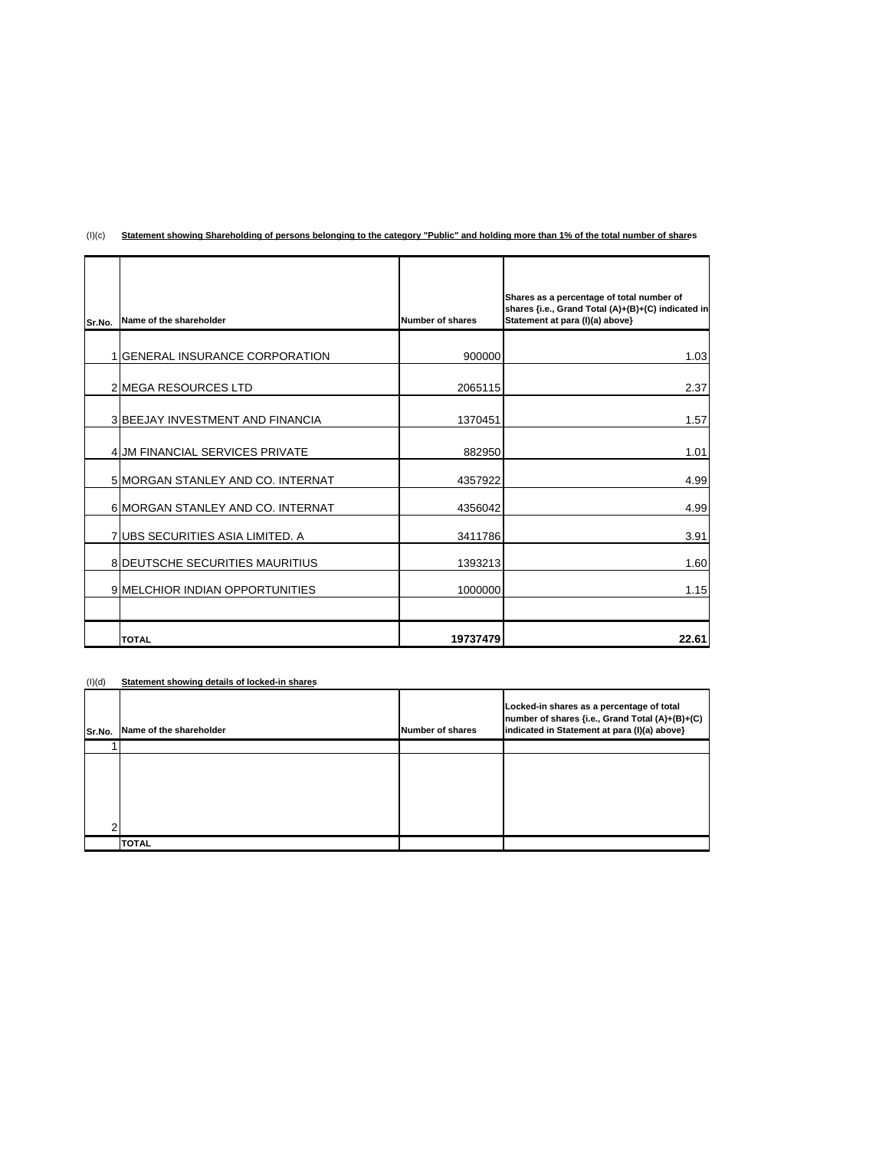| Sr.No. | Name of the shareholder                | Number of shares | Shares as a percentage of total number of<br>shares {i.e., Grand Total (A)+(B)+(C) indicated in<br>Statement at para (I)(a) above} |
|--------|----------------------------------------|------------------|------------------------------------------------------------------------------------------------------------------------------------|
|        | 1 GENERAL INSURANCE CORPORATION        | 900000           | 1.03                                                                                                                               |
|        |                                        |                  |                                                                                                                                    |
|        | 2 MEGA RESOURCES LTD                   | 2065115          | 2.37                                                                                                                               |
|        | 3 BEEJAY INVESTMENT AND FINANCIA       | 1370451          | 1.57                                                                                                                               |
|        | 4 JM FINANCIAL SERVICES PRIVATE        | 882950           | 1.01                                                                                                                               |
|        | 5 MORGAN STANLEY AND CO. INTERNAT      | 4357922          | 4.99                                                                                                                               |
|        | 6 MORGAN STANLEY AND CO. INTERNAT      | 4356042          | 4.99                                                                                                                               |
|        | 7 UBS SECURITIES ASIA LIMITED. A       | 3411786          | 3.91                                                                                                                               |
|        | <b>8 DEUTSCHE SECURITIES MAURITIUS</b> | 1393213          | 1.60                                                                                                                               |
|        | <b>9 MELCHIOR INDIAN OPPORTUNITIES</b> | 1000000          | 1.15                                                                                                                               |
|        | <b>TOTAL</b>                           | 19737479         | 22.61                                                                                                                              |

(I)(c) **Statement showing Shareholding of persons belonging to the category "Public" and holding more than 1% of the total number of shares**

## (I)(d) **Statement showing details of locked-in shares**

| Sr.No. | Name of the shareholder | Number of shares | Locked-in shares as a percentage of total<br>number of shares {i.e., Grand Total (A)+(B)+(C)<br>indicated in Statement at para (I)(a) above} |
|--------|-------------------------|------------------|----------------------------------------------------------------------------------------------------------------------------------------------|
|        |                         |                  |                                                                                                                                              |
|        |                         |                  |                                                                                                                                              |
|        |                         |                  |                                                                                                                                              |
|        |                         |                  |                                                                                                                                              |
|        |                         |                  |                                                                                                                                              |
| ີ      |                         |                  |                                                                                                                                              |
|        | <b>TOTAL</b>            |                  |                                                                                                                                              |